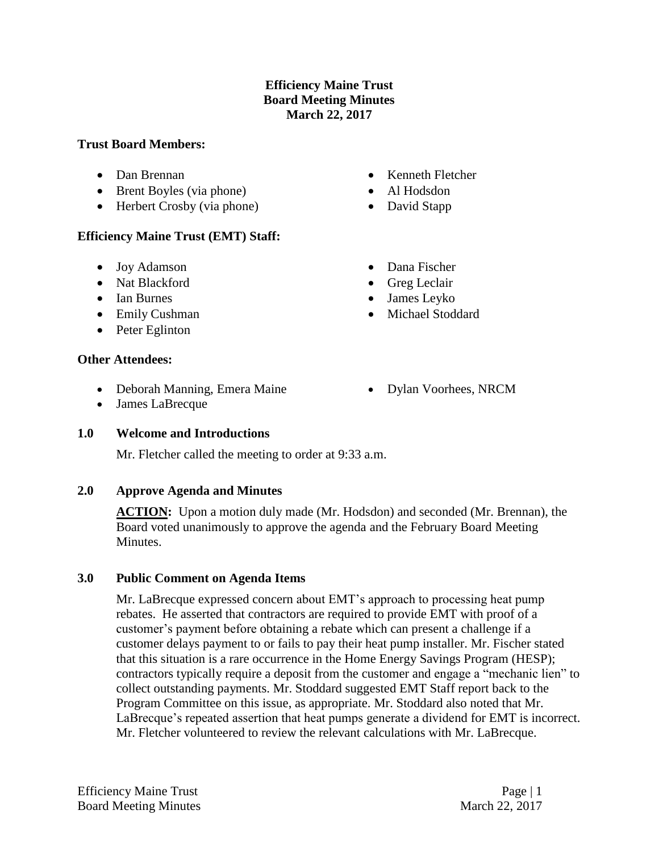## **Efficiency Maine Trust Board Meeting Minutes March 22, 2017**

#### **Trust Board Members:**

- Dan Brennan
- Brent Boyles (via phone)
- Herbert Crosby (via phone)

### **Efficiency Maine Trust (EMT) Staff:**

- Joy Adamson
- Nat Blackford
- Ian Burnes
- Emily Cushman
- Peter Eglinton

#### **Other Attendees:**

- Deborah Manning, Emera Maine
- Dylan Voorhees, NRCM

• Kenneth Fletcher Al Hodsdon • David Stapp

• Dana Fischer • Greg Leclair James Leyko Michael Stoddard

James LaBrecque

### **1.0 Welcome and Introductions**

Mr. Fletcher called the meeting to order at 9:33 a.m.

### **2.0 Approve Agenda and Minutes**

**ACTION:** Upon a motion duly made (Mr. Hodsdon) and seconded (Mr. Brennan), the Board voted unanimously to approve the agenda and the February Board Meeting Minutes.

### **3.0 Public Comment on Agenda Items**

Mr. LaBrecque expressed concern about EMT's approach to processing heat pump rebates. He asserted that contractors are required to provide EMT with proof of a customer's payment before obtaining a rebate which can present a challenge if a customer delays payment to or fails to pay their heat pump installer. Mr. Fischer stated that this situation is a rare occurrence in the Home Energy Savings Program (HESP); contractors typically require a deposit from the customer and engage a "mechanic lien" to collect outstanding payments. Mr. Stoddard suggested EMT Staff report back to the Program Committee on this issue, as appropriate. Mr. Stoddard also noted that Mr. LaBrecque's repeated assertion that heat pumps generate a dividend for EMT is incorrect. Mr. Fletcher volunteered to review the relevant calculations with Mr. LaBrecque.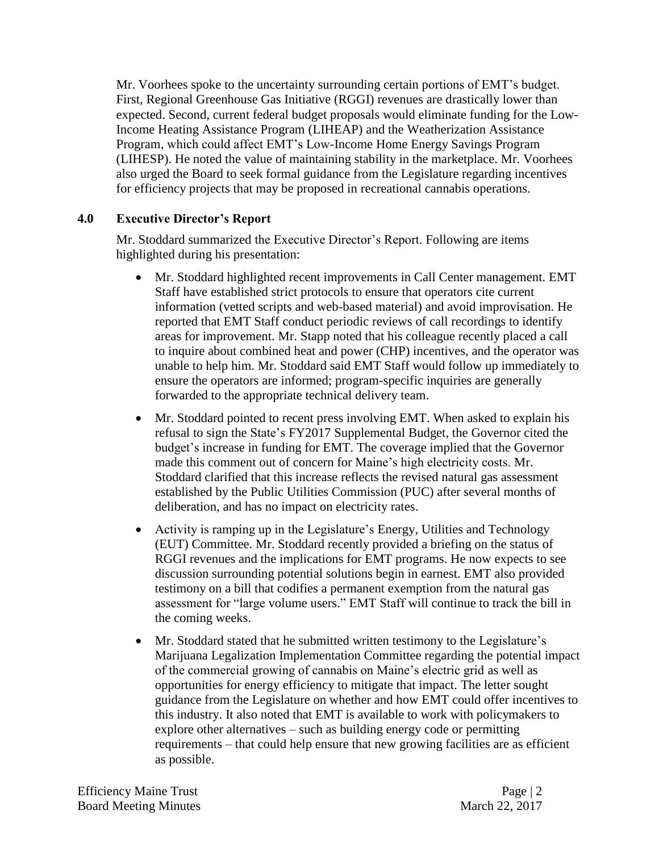Mr. Voorhees spoke to the uncertainty surrounding certain portions of EMT's budget. First, Regional Greenhouse Gas Initiative (RGGI) revenues are drastically lower than expected. Second, current federal budget proposals would eliminate funding for the Low-Income Heating Assistance Program (LIHEAP) and the Weatherization Assistance Program, which could affect EMT's Low-Income Home Energy Savings Program (LIHESP). He noted the value of maintaining stability in the marketplace. Mr. Voorhees also urged the Board to seek formal guidance from the Legislature regarding incentives for efficiency projects that may be proposed in recreational cannabis operations.

# **4.0 Executive Director's Report**

Mr. Stoddard summarized the Executive Director's Report. Following are items highlighted during his presentation:

- Mr. Stoddard highlighted recent improvements in Call Center management. EMT Staff have established strict protocols to ensure that operators cite current information (vetted scripts and web-based material) and avoid improvisation. He reported that EMT Staff conduct periodic reviews of call recordings to identify areas for improvement. Mr. Stapp noted that his colleague recently placed a call to inquire about combined heat and power (CHP) incentives, and the operator was unable to help him. Mr. Stoddard said EMT Staff would follow up immediately to ensure the operators are informed; program-specific inquiries are generally forwarded to the appropriate technical delivery team.
- Mr. Stoddard pointed to recent press involving EMT. When asked to explain his refusal to sign the State's FY2017 Supplemental Budget, the Governor cited the budget's increase in funding for EMT. The coverage implied that the Governor made this comment out of concern for Maine's high electricity costs. Mr. Stoddard clarified that this increase reflects the revised natural gas assessment established by the Public Utilities Commission (PUC) after several months of deliberation, and has no impact on electricity rates.
- Activity is ramping up in the Legislature's Energy, Utilities and Technology (EUT) Committee. Mr. Stoddard recently provided a briefing on the status of RGGI revenues and the implications for EMT programs. He now expects to see discussion surrounding potential solutions begin in earnest. EMT also provided testimony on a bill that codifies a permanent exemption from the natural gas assessment for "large volume users." EMT Staff will continue to track the bill in the coming weeks.
- Mr. Stoddard stated that he submitted written testimony to the Legislature's Marijuana Legalization Implementation Committee regarding the potential impact of the commercial growing of cannabis on Maine's electric grid as well as opportunities for energy efficiency to mitigate that impact. The letter sought guidance from the Legislature on whether and how EMT could offer incentives to this industry. It also noted that EMT is available to work with policymakers to explore other alternatives – such as building energy code or permitting requirements – that could help ensure that new growing facilities are as efficient as possible.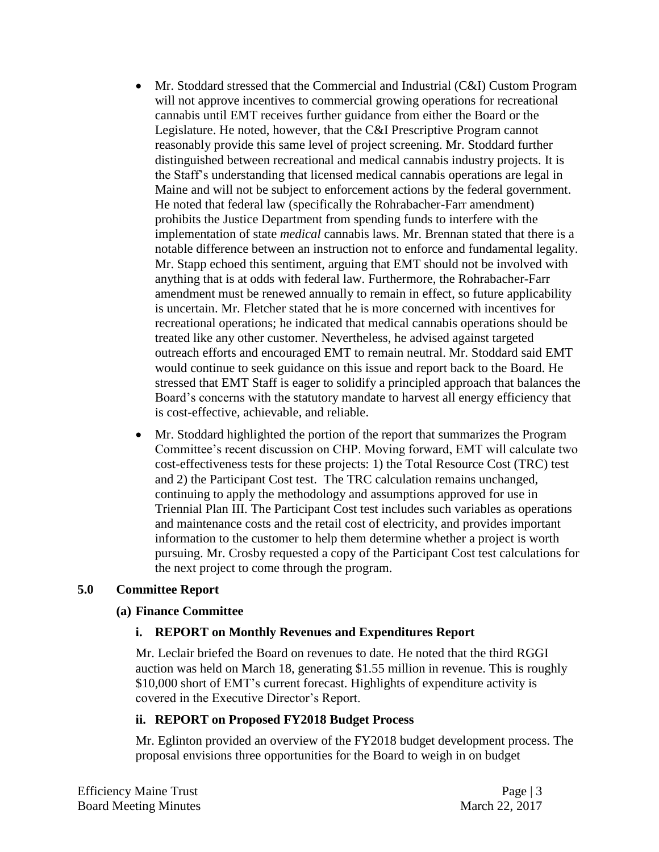- Mr. Stoddard stressed that the Commercial and Industrial (C&I) Custom Program will not approve incentives to commercial growing operations for recreational cannabis until EMT receives further guidance from either the Board or the Legislature. He noted, however, that the C&I Prescriptive Program cannot reasonably provide this same level of project screening. Mr. Stoddard further distinguished between recreational and medical cannabis industry projects. It is the Staff's understanding that licensed medical cannabis operations are legal in Maine and will not be subject to enforcement actions by the federal government. He noted that federal law (specifically the Rohrabacher-Farr amendment) prohibits the Justice Department from spending funds to interfere with the implementation of state *medical* cannabis laws. Mr. Brennan stated that there is a notable difference between an instruction not to enforce and fundamental legality. Mr. Stapp echoed this sentiment, arguing that EMT should not be involved with anything that is at odds with federal law. Furthermore, the Rohrabacher-Farr amendment must be renewed annually to remain in effect, so future applicability is uncertain. Mr. Fletcher stated that he is more concerned with incentives for recreational operations; he indicated that medical cannabis operations should be treated like any other customer. Nevertheless, he advised against targeted outreach efforts and encouraged EMT to remain neutral. Mr. Stoddard said EMT would continue to seek guidance on this issue and report back to the Board. He stressed that EMT Staff is eager to solidify a principled approach that balances the Board's concerns with the statutory mandate to harvest all energy efficiency that is cost-effective, achievable, and reliable.
- Mr. Stoddard highlighted the portion of the report that summarizes the Program Committee's recent discussion on CHP. Moving forward, EMT will calculate two cost-effectiveness tests for these projects: 1) the Total Resource Cost (TRC) test and 2) the Participant Cost test. The TRC calculation remains unchanged, continuing to apply the methodology and assumptions approved for use in Triennial Plan III. The Participant Cost test includes such variables as operations and maintenance costs and the retail cost of electricity, and provides important information to the customer to help them determine whether a project is worth pursuing. Mr. Crosby requested a copy of the Participant Cost test calculations for the next project to come through the program.

### **5.0 Committee Report**

### **(a) Finance Committee**

### **i. REPORT on Monthly Revenues and Expenditures Report**

Mr. Leclair briefed the Board on revenues to date. He noted that the third RGGI auction was held on March 18, generating \$1.55 million in revenue. This is roughly \$10,000 short of EMT's current forecast. Highlights of expenditure activity is covered in the Executive Director's Report.

### **ii. REPORT on Proposed FY2018 Budget Process**

Mr. Eglinton provided an overview of the FY2018 budget development process. The proposal envisions three opportunities for the Board to weigh in on budget